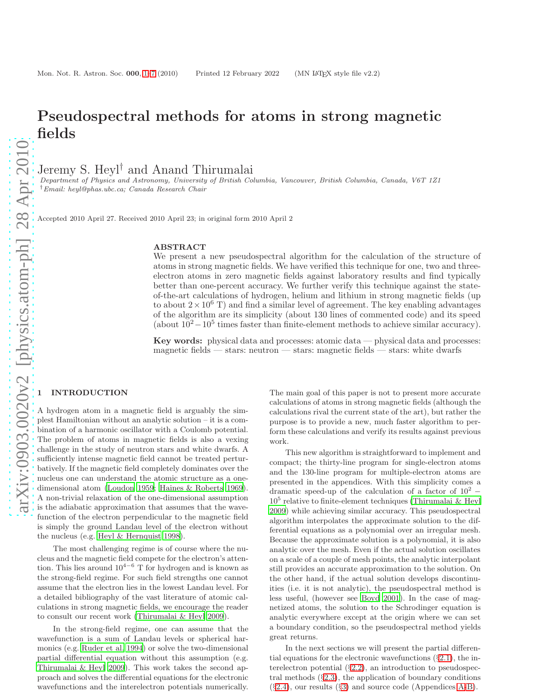# Pseudospectral methods for atoms in strong magnetic fields

Jeremy S. Heyl<sup>†</sup> and Anand Thirumalai

*Department of Physics and Astronomy, University of British Columbia, Vancouver, British Columbia, Canada, V6T 1Z1* †*Email: heyl@phas.ubc.ca; Canada Research Chair*

Accepted 2010 April 27. Received 2010 April 23; in original form 2010 April 2

#### ABSTRACT

We present a new pseudospectral algorithm for the calculation of the structure of atoms in strong magnetic fields. We have verified this technique for one, two and threeelectron atoms in zero magnetic fields against laboratory results and find typically better than one-percent accuracy. We further verify this technique against the stateof-the-art calculations of hydrogen, helium and lithium in strong magnetic fields (up to about  $2 \times 10^6$  T) and find a similar level of agreement. The key enabling advantages of the algorithm are its simplicity (about 130 lines of commented code) and its speed (about  $10^2 - 10^5$  times faster than finite-element methods to achieve similar accuracy).

Key words: physical data and processes: atomic data — physical data and processes: magnetic fields — stars: neutron — stars: magnetic fields — stars: white dwarfs

# **INTRODUCTION**

A hydrogen atom in a magnetic field is arguably the simplest Hamiltonian without an analytic solution – it is a combination of a harmonic oscillator with a Coulomb potential. The problem of atoms in magnetic fields is also a vexing challenge in the study of neutron stars and white dwarfs. A sufficiently intense magnetic field cannot be treated perturbatively. If the magnetic field completely dominates over the nucleus one can understand the atomic structure as a onedimensional atom [\(Loudon 1959](#page-6-0); [Haines & Roberts 1969](#page-6-1)). A non-trivial relaxation of the one-dimensional assumption is the adiabatic approximation that assumes that the wavefunction of the electron perpendicular to the magnetic field is simply the ground Landau level of the electron without the nucleus (e.g. [Heyl & Hernquist 1998\)](#page-6-2).

The most challenging regime is of course where the nucleus and the magnetic field compete for the electron's attention. This lies around  $10^{4-6}$  T for hydrogen and is known as the strong-field regime. For such field strengths one cannot assume that the electron lies in the lowest Landau level. For a detailed bibliography of the vast literature of atomic calculations in strong magnetic fields, we encourage the reader to consult our recent work [\(Thirumalai & Heyl 2009](#page-6-3)).

In the strong-field regime, one can assume that the wavefunction is a sum of Landau levels or spherical harmonics (e.g. [Ruder et al. 1994\)](#page-6-4) or solve the two-dimensional partial differential equation without this assumption (e.g. [Thirumalai & Heyl 2009](#page-6-3)). This work takes the second approach and solves the differential equations for the electronic wavefunctions and the interelectron potentials numerically.

The main goal of this paper is not to present more accurate calculations of atoms in strong magnetic fields (although the calculations rival the current state of the art), but rather the purpose is to provide a new, much faster algorithm to perform these calculations and verify its results against previous work.

This new algorithm is straightforward to implement and compact; the thirty-line program for single-electron atoms and the 130-line program for multiple-electron atoms are presented in the appendices. With this simplicity comes a dramatic speed-up of the calculation of a factor of  $10^2$  −  $10<sup>5</sup>$  relative to finite-element techniques [\(Thirumalai & Heyl](#page-6-3) [2009](#page-6-3)) while achieving similar accuracy. This pseudospectral algorithm interpolates the approximate solution to the differential equations as a polynomial over an irregular mesh. Because the approximate solution is a polynomial, it is also analytic over the mesh. Even if the actual solution oscillates on a scale of a couple of mesh points, the analytic interpolant still provides an accurate approximation to the solution. On the other hand, if the actual solution develops discontinuities (i.e. it is not analytic), the pseudospectral method is less useful, (however see [Boyd 2001](#page-6-5)). In the case of magnetized atoms, the solution to the Schrodinger equation is analytic everywhere except at the origin where we can set a boundary condition, so the pseudospectral method yields great returns.

In the next sections we will present the partial differential equations for the electronic wavefunctions  $(\S 2.1)$  $(\S 2.1)$ , the interelectron potential  $(\S2.2)$  $(\S2.2)$ , an introduction to pseudospectral methods  $(\S2.3)$  $(\S2.3)$ , the application of boundary conditions (§[2.4\)](#page-2-1), our results (§[3\)](#page-3-0) and source code (Appendices [A-](#page-7-0)[B\)](#page-7-1).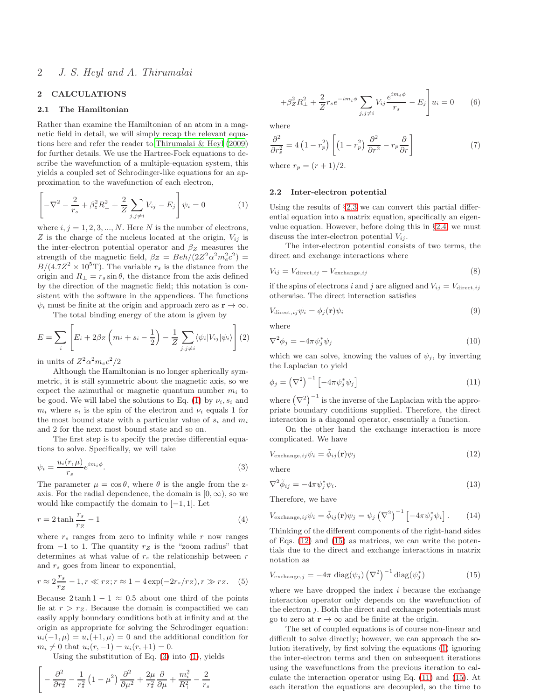# <span id="page-1-0"></span>2 CALCULATIONS

## 2.1 The Hamiltonian

Rather than examine the Hamiltonian of an atom in a magnetic field in detail, we will simply recap the relevant equations here and refer the reader to [Thirumalai & Heyl \(2009](#page-6-3)) for further details. We use the Hartree-Fock equations to describe the wavefunction of a multiple-equation system, this yields a coupled set of Schrodinger-like equations for an approximation to the wavefunction of each electron,

<span id="page-1-2"></span>
$$
\left[ -\nabla^2 - \frac{2}{r_s} + \beta_z^2 R_{\perp}^2 + \frac{2}{Z} \sum_{j,j \neq i} V_{ij} - E_j \right] \psi_i = 0 \tag{1}
$$

where  $i, j = 1, 2, 3, ..., N$ . Here N is the number of electrons, Z is the charge of the nucleus located at the origin,  $V_{ij}$  is the inter-electron potential operator and  $\beta$ <sub>Z</sub> measures the strength of the magnetic field,  $\beta_Z = Be\hbar/(2Z^2\alpha^2m_e^2c^2)$  =  $B/(4.7Z^2 \times 10^5 \text{T})$ . The variable  $r_s$  is the distance from the origin and  $R_{\perp} = r_s \sin \theta$ , the distance from the axis defined by the direction of the magnetic field; this notation is consistent with the software in the appendices. The functions  $\psi_i$  must be finite at the origin and approach zero as  $\mathbf{r} \to \infty$ .

The total binding energy of the atom is given by

$$
E = \sum_{i} \left[ E_i + 2\beta_Z \left( m_i + s_i - \frac{1}{2} \right) - \frac{1}{Z} \sum_{j,j \neq i} \langle \psi_i | V_{ij} | \psi_i \rangle \right] (2)
$$

in units of  $Z^2 \alpha^2 m_e c^2/2$ 

Although the Hamiltonian is no longer spherically symmetric, it is still symmetric about the magnetic axis, so we expect the azimuthal or magnetic quantum number  $m_i$  to be good. We will label the solutions to Eq. [\(1\)](#page-1-2) by  $\nu_i, s_i$  and  $m_i$  where  $s_i$  is the spin of the electron and  $\nu_i$  equals 1 for the most bound state with a particular value of  $s_i$  and  $m_i$ and 2 for the next most bound state and so on.

The first step is to specify the precise differential equations to solve. Specifically, we will take

<span id="page-1-3"></span>
$$
\psi_i = \frac{u_i(r,\mu)}{r_s} e^{im_i \phi}.
$$
\n(3)

The parameter  $\mu = \cos \theta$ , where  $\theta$  is the angle from the zaxis. For the radial dependence, the domain is  $[0, \infty)$ , so we would like compactify the domain to  $[-1, 1]$ . Let

<span id="page-1-7"></span>
$$
r = 2 \tanh \frac{r_s}{r_Z} - 1\tag{4}
$$

where  $r<sub>s</sub>$  ranges from zero to infinity while r now ranges from  $-1$  to 1. The quantity  $r<sub>Z</sub>$  is the "zoom radius" that determines at what value of  $r_s$  the relationship between r and  $r_s$  goes from linear to exponential,

$$
r \approx 2\frac{r_s}{r_Z} - 1, r \ll r_Z; r \approx 1 - 4\exp(-2r_s/r_Z), r \gg r_Z.
$$
 (5)

Because  $2 \tanh 1 - 1 \approx 0.5$  about one third of the points lie at  $r > r_Z$ . Because the domain is compactified we can easily apply boundary conditions both at infinity and at the origin as appropriate for solving the Schrodinger equation:  $u_i(-1, \mu) = u_i(+1, \mu) = 0$  and the additional condition for  $m_i \neq 0$  that  $u_i(r, -1) = u_i(r, +1) = 0$ .

Using the substitution of Eq. [\(3\)](#page-1-3) into [\(1\)](#page-1-2), yields

<span id="page-1-8"></span>
$$
\left[ -\frac{\partial^2}{\partial r_s^2} - \frac{1}{r_s^2} \left( 1 - \mu^2 \right) \frac{\partial^2}{\partial \mu^2} + \frac{2\mu}{r_s^2} \frac{\partial}{\partial \mu} + \frac{m_i^2}{R_\perp^2} - \frac{2}{r_s} \right]
$$

$$
+\beta_Z^2 R_\perp^2 + \frac{2}{Z} r_s e^{-im_i \phi} \sum_{j,j \neq i} V_{ij} \frac{e^{im_i \phi}}{r_s} - E_j \bigg] u_i = 0 \qquad (6)
$$

where

$$
\frac{\partial^2}{\partial r_s^2} = 4\left(1 - r_p^2\right) \left[ \left(1 - r_p^2\right) \frac{\partial^2}{\partial r^2} - r_p \frac{\partial}{\partial r} \right] \tag{7}
$$

where  $r_p = (r + 1)/2$ .

#### <span id="page-1-1"></span>2.2 Inter-electron potential

Using the results of §[2.3](#page-2-0) we can convert this partial differential equation into a matrix equation, specifically an eigenvalue equation. However, before doing this in §[2.4,](#page-2-1) we must discuss the inter-electron potential  $V_{ij}$ .

The inter-electron potential consists of two terms, the direct and exchange interactions where

$$
V_{ij} = V_{\text{direct},ij} - V_{\text{exchange},ij} \tag{8}
$$

if the spins of electrons i and j are aligned and  $V_{ij} = V_{\text{direct},ij}$ otherwise. The direct interaction satisfies

$$
V_{\text{direct},ij}\psi_i = \phi_j(\mathbf{r})\psi_i \tag{9}
$$

where

$$
\nabla^2 \phi_j = -4\pi \psi_j^* \psi_j \tag{10}
$$

which we can solve, knowing the values of  $\psi_i$ , by inverting the Laplacian to yield

<span id="page-1-6"></span>
$$
\phi_j = \left(\nabla^2\right)^{-1} \left[-4\pi \psi_j^* \psi_j\right] \tag{11}
$$

where  $(\nabla^2)^{-1}$  is the inverse of the Laplacian with the appropriate boundary conditions supplied. Therefore, the direct interaction is a diagonal operator, essentially a function.

On the other hand the exchange interaction is more complicated. We have

<span id="page-1-4"></span>
$$
V_{\text{exchange},ij}\psi_i = \tilde{\phi}_{ij}(\mathbf{r})\psi_j \tag{12}
$$

where

$$
\nabla^2 \tilde{\phi}_{ij} = -4\pi \psi_j^* \psi_i. \tag{13}
$$

Therefore, we have

$$
V_{\text{exchange},ij}\psi_i = \tilde{\phi}_{ij}(\mathbf{r})\psi_j = \psi_j \left(\nabla^2\right)^{-1} \left[-4\pi\psi_j^* \psi_i\right].\tag{14}
$$

Thinking of the different components of the right-hand sides of Eqs. [\(12\)](#page-1-4) and [\(15\)](#page-1-5) as matrices, we can write the potentials due to the direct and exchange interactions in matrix notation as

<span id="page-1-5"></span>
$$
V_{\text{exchange},j} = -4\pi \text{ diag}(\psi_j) \left(\nabla^2\right)^{-1} \text{diag}(\psi_j^*)
$$
 (15)

where we have dropped the index  $i$  because the exchange interaction operator only depends on the wavefunction of the electron  $j$ . Both the direct and exchange potentials must go to zero at  $\mathbf{r} \to \infty$  and be finite at the origin.

The set of coupled equations is of course non-linear and difficult to solve directly; however, we can approach the solution iteratively, by first solving the equations [\(1\)](#page-1-2) ignoring the inter-electron terms and then on subsequent iterations using the wavefunctions from the previous iteration to calculate the interaction operator using Eq. [\(11\)](#page-1-6) and [\(15\)](#page-1-5). At each iteration the equations are decoupled, so the time to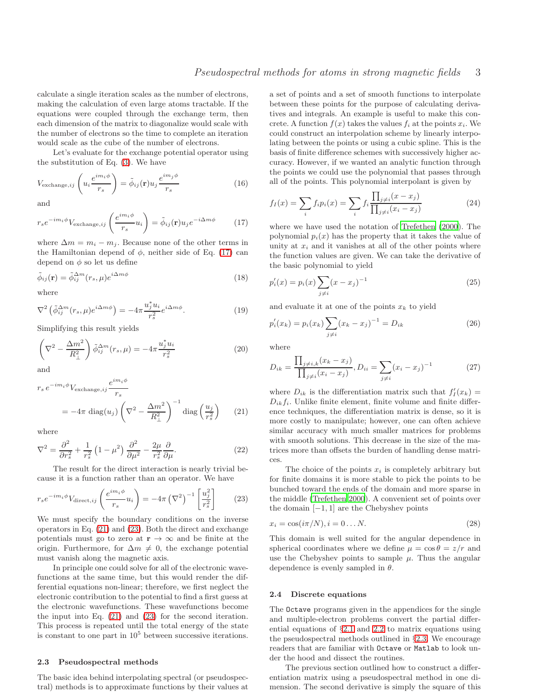calculate a single iteration scales as the number of electrons, making the calculation of even large atoms tractable. If the equations were coupled through the exchange term, then each dimension of the matrix to diagonalize would scale with the number of electrons so the time to complete an iteration would scale as the cube of the number of electrons.

Let's evaluate for the exchange potential operator using the substitution of Eq. [\(3\)](#page-1-3). We have

$$
V_{\text{exchange},ij}\left(u_i\frac{e^{im_i\phi}}{r_s}\right) = \tilde{\phi}_{ij}(\mathbf{r})u_j\frac{e^{im_j\phi}}{r_s}
$$
(16)

and

<span id="page-2-2"></span>
$$
r_s e^{-im_i \phi} V_{\text{exchange},ij} \left( \frac{e^{im_i \phi}}{r_s} u_i \right) = \tilde{\phi}_{ij}(\mathbf{r}) u_j e^{-i \Delta m \phi} \tag{17}
$$

where  $\Delta m = m_i - m_j$ . Because none of the other terms in the Hamiltonian depend of  $\phi$ , neither side of Eq. [\(17\)](#page-2-2) can depend on  $\phi$  so let us define

$$
\tilde{\phi}_{ij}(\mathbf{r}) = \tilde{\phi}_{ij}^{\Delta m}(r_s, \mu) e^{i\Delta m\phi}
$$
\n(18)

where

$$
\nabla^2 \left( \tilde{\phi}_{ij}^{\Delta m} (r_s, \mu) e^{i \Delta m \phi} \right) = -4\pi \frac{u_j^* u_i}{r_s^2} e^{i \Delta m \phi}.
$$
 (19)

Simplifying this result yields

$$
\left(\nabla^2 - \frac{\Delta m^2}{R_\perp^2}\right)\tilde{\phi}_{ij}^{\Delta m}(r_s,\mu) = -4\pi \frac{u_j^* u_i}{r_s^2}
$$
\n(20)

and

<span id="page-2-3"></span>
$$
r_s e^{-im_i\phi} V_{\text{exchange},ij} \frac{e^{im_i\phi}}{r_s}
$$
  
=  $-4\pi \text{ diag}(u_j) \left(\nabla^2 - \frac{\Delta m^2}{R_\perp^2}\right)^{-1} \text{diag}\left(\frac{u_j}{r_s^2}\right)$  (21)

 $\lim A$ 

where

$$
\nabla^2 = \frac{\partial^2}{\partial r_s^2} + \frac{1}{r_s^2} \left( 1 - \mu^2 \right) \frac{\partial^2}{\partial \mu^2} - \frac{2\mu}{r_s^2} \frac{\partial}{\partial \mu}.
$$
 (22)

The result for the direct interaction is nearly trivial because it is a function rather than an operator. We have

<span id="page-2-4"></span>
$$
r_s e^{-im_i \phi} V_{\text{direct},ij} \left(\frac{e^{im_i \phi}}{r_s} u_i\right) = -4\pi \left(\nabla^2\right)^{-1} \left[\frac{u_j^2}{r_s^2}\right] \tag{23}
$$

We must specify the boundary conditions on the inverse operators in Eq. [\(21\)](#page-2-3) and [\(23\)](#page-2-4). Both the direct and exchange potentials must go to zero at  $r \to \infty$  and be finite at the origin. Furthermore, for  $\Delta m \neq 0$ , the exchange potential must vanish along the magnetic axis.

In principle one could solve for all of the electronic wavefunctions at the same time, but this would render the differential equations non-linear; therefore, we first neglect the electronic contribution to the potential to find a first guess at the electronic wavefunctions. These wavefunctions become the input into Eq. [\(21\)](#page-2-3) and [\(23\)](#page-2-4) for the second iteration. This process is repeated until the total energy of the state is constant to one part in  $10<sup>5</sup>$  between successive iterations.

#### <span id="page-2-0"></span>2.3 Pseudospectral methods

The basic idea behind interpolating spectral (or pseudospectral) methods is to approximate functions by their values at a set of points and a set of smooth functions to interpolate between these points for the purpose of calculating derivatives and integrals. An example is useful to make this concrete. A function  $f(x)$  takes the values  $f_i$  at the points  $x_i$ . We could construct an interpolation scheme by linearly interpolating between the points or using a cubic spline. This is the basis of finite difference schemes with successively higher accuracy. However, if we wanted an analytic function through the points we could use the polynomial that passes through all of the points. This polynomial interpolant is given by

$$
f_I(x) = \sum_i f_i p_i(x) = \sum_i f_i \frac{\prod_{j \neq i} (x - x_j)}{\prod_{j \neq i} (x_i - x_j)}
$$
(24)

where we have used the notation of [Trefethen \(2000](#page-6-6)). The polynomial  $p_i(x)$  has the property that it takes the value of unity at  $x_i$  and it vanishes at all of the other points where the function values are given. We can take the derivative of the basic polynomial to yield

$$
p_i'(x) = p_i(x) \sum_{j \neq i} (x - x_j)^{-1}
$$
 (25)

and evaluate it at one of the points  $x_k$  to yield

$$
p_i'(x_k) = p_i(x_k) \sum_{j \neq i} (x_k - x_j)^{-1} = D_{ik}
$$
 (26)

where

<span id="page-2-5"></span>
$$
D_{ik} = \frac{\prod_{j \neq i,k} (x_k - x_j)}{\prod_{j \neq i} (x_i - x_j)}, D_{ii} = \sum_{j \neq i} (x_i - x_j)^{-1}
$$
(27)

where  $D_{ik}$  is the differentiation matrix such that  $f'_I(x_k) =$  $D_{ik}f_i$ . Unlike finite element, finite volume and finite difference techniques, the differentiation matrix is dense, so it is more costly to manipulate; however, one can often achieve similar accuracy with much smaller matrices for problems with smooth solutions. This decrease in the size of the matrices more than offsets the burden of handling dense matrices.

The choice of the points  $x_i$  is completely arbitrary but for finite domains it is more stable to pick the points to be bunched toward the ends of the domain and more sparse in the middle [\(Trefethen 2000](#page-6-6)). A convenient set of points over the domain  $[-1, 1]$  are the Chebyshev points

$$
x_i = \cos(i\pi/N), i = 0...N.
$$
\n<sup>(28)</sup>

This domain is well suited for the angular dependence in spherical coordinates where we define  $\mu = \cos \theta = z/r$  and use the Chebyshev points to sample  $\mu$ . Thus the angular dependence is evenly sampled in  $\theta$ .

#### <span id="page-2-1"></span>2.4 Discrete equations

The Octave programs given in the appendices for the single and multiple-electron problems convert the partial differential equations of §[2.1](#page-1-0) and [2.2](#page-1-1) to matrix equations using the pseudospectral methods outlined in §[2.3.](#page-2-0) We encourage readers that are familiar with Octave or Matlab to look under the hood and dissect the routines.

The previous section outlined how to construct a differentiation matrix using a pseudospectral method in one dimension. The second derivative is simply the square of this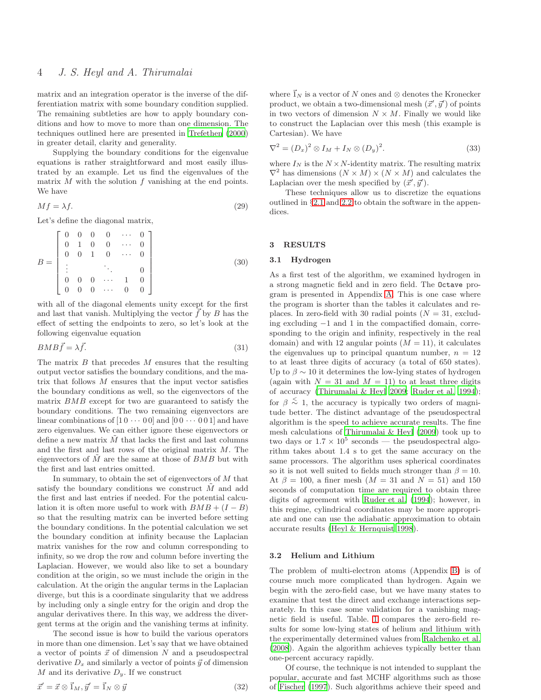matrix and an integration operator is the inverse of the differentiation matrix with some boundary condition supplied. The remaining subtleties are how to apply boundary conditions and how to move to more than one dimension. The techniques outlined here are presented in [Trefethen \(2000](#page-6-6)) in greater detail, clarity and generality.

Supplying the boundary conditions for the eigenvalue equations is rather straightforward and most easily illustrated by an example. Let us find the eigenvalues of the matrix  $M$  with the solution  $f$  vanishing at the end points. We have

$$
Mf = \lambda f. \tag{29}
$$

Let's define the diagonal matrix,

$$
B = \begin{bmatrix} 0 & 0 & 0 & 0 & \cdots & 0 \\ 0 & 1 & 0 & 0 & \cdots & 0 \\ 0 & 0 & 1 & 0 & \cdots & 0 \\ \vdots & & & \ddots & & 0 \\ 0 & 0 & 0 & \cdots & 1 & 0 \\ 0 & 0 & 0 & \cdots & 0 & 0 \end{bmatrix}
$$
(30)

with all of the diagonal elements unity except for the first and last that vanish. Multiplying the vector  $\hat{f}$  by B has the effect of setting the endpoints to zero, so let's look at the following eigenvalue equation

$$
BMB\vec{f} = \lambda \vec{f}.\tag{31}
$$

The matrix  $B$  that precedes  $M$  ensures that the resulting output vector satisfies the boundary conditions, and the matrix that follows  $M$  ensures that the input vector satisfies the boundary conditions as well, so the eigenvectors of the matrix BMB except for two are guaranteed to satisfy the boundary conditions. The two remaining eigenvectors are linear combinations of  $[1 0 \cdots 0 0]$  and  $[0 0 \cdots 0 0 1]$  and have zero eigenvalues. We can either ignore these eigenvectors or define a new matrix  $M$  that lacks the first and last columns and the first and last rows of the original matrix M. The eigenvectors of  $\tilde{M}$  are the same at those of  $BMB$  but with the first and last entries omitted.

In summary, to obtain the set of eigenvectors of  $M$  that satisfy the boundary conditions we construct  $\tilde{M}$  and add the first and last entries if needed. For the potential calculation it is often more useful to work with  $BMB + (I - B)$ so that the resulting matrix can be inverted before setting the boundary conditions. In the potential calculation we set the boundary condition at infinity because the Laplacian matrix vanishes for the row and column corresponding to infinity, so we drop the row and column before inverting the Laplacian. However, we would also like to set a boundary condition at the origin, so we must include the origin in the calculation. At the origin the angular terms in the Laplacian diverge, but this is a coordinate singularity that we address by including only a single entry for the origin and drop the angular derivatives there. In this way, we address the divergent terms at the origin and the vanishing terms at infinity.

The second issue is how to build the various operators in more than one dimension. Let's say that we have obtained a vector of points  $\vec{x}$  of dimension N and a pseudospectral derivative  $D_x$  and similarly a vector of points  $\vec{y}$  of dimension M and its derivative  $D_y$ . If we construct

$$
\vec{x}' = \vec{x} \otimes \vec{1}_M, \vec{y}' = \vec{1}_N \otimes \vec{y} \tag{32}
$$

where  $\vec{1}_N$  is a vector of N ones and ⊗ denotes the Kronecker product, we obtain a two-dimensional mesh  $(\vec{x}', \vec{y}')$  of points in two vectors of dimension  $N \times M$ . Finally we would like to construct the Laplacian over this mesh (this example is Cartesian). We have

$$
\nabla^2 = (D_x)^2 \otimes I_M + I_N \otimes (D_y)^2. \tag{33}
$$

where  $I_N$  is the  $N \times N$ -identity matrix. The resulting matrix  $\nabla^2$  has dimensions  $(N \times M) \times (N \times M)$  and calculates the Laplacian over the mesh specified by  $(\vec{x}', \vec{y}')$ .

These techniques allow us to discretize the equations outlined in §[2.1](#page-1-0) and [2.2](#page-1-1) to obtain the software in the appendices.

#### <span id="page-3-0"></span>3 RESULTS

#### 3.1 Hydrogen

As a first test of the algorithm, we examined hydrogen in a strong magnetic field and in zero field. The Octave program is presented in Appendix [A.](#page-7-0) This is one case where the program is shorter than the tables it calculates and replaces. In zero-field with 30 radial points ( $N = 31$ , excluding excluding −1 and 1 in the compactified domain, corresponding to the origin and infinity, respectively in the real domain) and with 12 angular points  $(M = 11)$ , it calculates the eigenvalues up to principal quantum number,  $n = 12$ to at least three digits of accuracy (a total of 650 states). Up to  $\beta \sim 10$  it determines the low-lying states of hydrogen (again with  $N = 31$  and  $M = 11$ ) to at least three digits of accuracy [\(Thirumalai & Heyl 2009;](#page-6-3) [Ruder et al. 1994](#page-6-4)); for  $\beta \stackrel{\textless}{\sim} 1$ , the accuracy is typically two orders of magnitude better. The distinct advantage of the pseudospectral algorithm is the speed to achieve accurate results. The fine mesh calculations of [Thirumalai & Heyl \(2009](#page-6-3)) took up to two days or  $1.7 \times 10^5$  seconds — the pseudospectral algorithm takes about 1.4 s to get the same accuracy on the same processors. The algorithm uses spherical coordinates so it is not well suited to fields much stronger than  $\beta = 10$ . At  $\beta = 100$ , a finer mesh  $(M = 31$  and  $N = 51)$  and 150 seconds of computation time are required to obtain three digits of agreement with [Ruder et al. \(1994](#page-6-4)); however, in this regime, cylindrical coordinates may be more appropriate and one can use the adiabatic approximation to obtain accurate results [\(Heyl & Hernquist 1998](#page-6-2)).

#### 3.2 Helium and Lithium

The problem of multi-electron atoms (Appendix [B\)](#page-7-1) is of course much more complicated than hydrogen. Again we begin with the zero-field case, but we have many states to examine that test the direct and exchange interactions separately. In this case some validation for a vanishing magnetic field is useful. Table. [1](#page-4-0) compares the zero-field results for some low-lying states of helium and lithium with the experimentally determined values from [Ralchenko et al.](#page-6-7) [\(2008](#page-6-7)). Again the algorithm achieves typically better than one-percent accuracy rapidly.

Of course, the technique is not intended to supplant the popular, accurate and fast MCHF algorithms such as those of [Fischer \(1997](#page-6-8)). Such algorithms achieve their speed and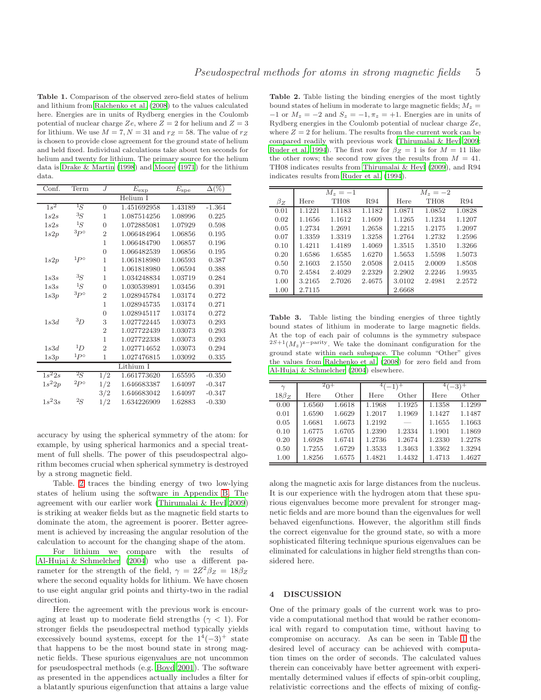<span id="page-4-0"></span>Table 1. Comparison of the observed zero-field states of helium and lithium from [Ralchenko et al. \(2008](#page-6-7)) to the values calculated here. Energies are in units of Rydberg energies in the Coulomb potential of nuclear charge Ze, where  $Z = 2$  for helium and  $Z = 3$ for lithium. We use  $M = 7, N = 31$  and  $r_Z = 58$ . The value of  $r_Z$ is chosen to provide close agreement for the ground state of helium and held fixed. Individual calculations take about ten seconds for helium and twenty for lithium. The primary source for the helium data is [Drake & Martin \(1998](#page-6-9)) and [Moore \(1971](#page-6-10)) for the lithium data.

| Conf.     | Term            | $\boldsymbol{J}$ | $E_{\rm exp}$ | $E_{\rm spe}$ | $\overline{\Delta(\%)}$ |  |  |
|-----------|-----------------|------------------|---------------|---------------|-------------------------|--|--|
| Helium I  |                 |                  |               |               |                         |  |  |
| $1s^2$    | ${}^1\! S$      | $\overline{0}$   | 1.451692958   | 1.43189       | $-1.364$                |  |  |
| 1s2s      | ${}^{3}S$       | 1                | 1.087514256   | 1.08996       | 0.225                   |  |  |
| 1s2s      | ${}^1\! S$      | $\Omega$         | 1.072885081   | 1.07929       | 0.598                   |  |  |
| 1s2p      | $^{3}P^{\circ}$ | $\overline{2}$   | 1.066484964   | 1.06856       | 0.195                   |  |  |
|           |                 | 1                | 1.066484790   | 1.06857       | 0.196                   |  |  |
|           |                 | $\overline{0}$   | 1.066482539   | 1.06856       | 0.195                   |  |  |
| 1s2p      | $1_{P^{\circ}}$ | $\mathbf 1$      | 1.061818980   | 1.06593       | 0.387                   |  |  |
|           |                 | 1                | 1.061818980   | 1.06594       | 0.388                   |  |  |
| 1s3s      | ${}^{3}S$       | 1                | 1.034248834   | 1.03719       | 0.284                   |  |  |
| 1s3s      | ${}^1\! S$      | $\overline{0}$   | 1.030539891   | 1.03456       | 0.391                   |  |  |
| 1s3p      | $^{3}P^{\circ}$ | $\overline{2}$   | 1.028945784   | 1.03174       | 0.272                   |  |  |
|           |                 | 1                | 1.028945735   | 1.03174       | 0.271                   |  |  |
|           |                 | $\overline{0}$   | 1.028945117   | 1.03174       | 0.272                   |  |  |
| 1s3d      | ${}^{3}D$       | 3                | 1.027722445   | 1.03073       | 0.293                   |  |  |
|           |                 | $\overline{2}$   | 1.027722439   | 1.03073       | 0.293                   |  |  |
|           |                 | 1                | 1.027722338   | 1.03073       | 0.293                   |  |  |
| 1s3d      | 1D              | $\overline{2}$   | 1.027714652   | 1.03073       | 0.294                   |  |  |
| 1s3p      | $1_{P^{\circ}}$ | 1                | 1.027476815   | 1.03092       | 0.335                   |  |  |
| Lithium I |                 |                  |               |               |                         |  |  |
| $1s^22s$  | $^{2}S$         | 1/2              | 1.661773620   | 1.65595       | $-0.350$                |  |  |
| $1s^22p$  | $^{2}P^{\circ}$ | 1/2              | 1.646683387   | 1.64097       | $-0.347$                |  |  |
|           |                 | 3/2              | 1.646683042   | 1.64097       | $-0.347$                |  |  |
| $1s^23s$  | ${}^{2}S$       | 1/2              | 1.634226909   | 1.62883       | $-0.330$                |  |  |

accuracy by using the spherical symmetry of the atom: for example, by using spherical harmonics and a special treatment of full shells. The power of this pseudospectral algorithm becomes crucial when spherical symmetry is destroyed by a strong magnetic field.

Table. [2](#page-4-1) traces the binding energy of two low-lying states of helium using the software in Appendix [B.](#page-7-1) The agreement with our earlier work [\(Thirumalai & Heyl 2009](#page-6-3)) is striking at weaker fields but as the magnetic field starts to dominate the atom, the agreement is poorer. Better agreement is achieved by increasing the angular resolution of the calculation to account for the changing shape of the atom.

For lithium we compare with the results of [Al-Hujaj & Schmelcher \(2004](#page-6-11)) who use a different parameter for the strength of the field,  $\gamma = 2Z^2 \beta_Z = 18 \beta_Z$ where the second equality holds for lithium. We have chosen to use eight angular grid points and thirty-two in the radial direction.

Here the agreement with the previous work is encouraging at least up to moderate field strengths ( $\gamma$  < 1). For stronger fields the pseudospectral method typically yields excessively bound systems, except for the  $1^4(-3)^+$  state that happens to be the most bound state in strong magnetic fields. These spurious eigenvalues are not uncommon for pseudospectral methods (e.g. [Boyd 2001](#page-6-5)). The software as presented in the appendices actually includes a filter for a blatantly spurious eigenfunction that attains a large value

<span id="page-4-1"></span>Table 2. Table listing the binding energies of the most tightly bound states of helium in moderate to large magnetic fields;  $M_z =$  $-1$  or  $M_z = -2$  and  $S_z = -1, \pi_z = +1$ . Energies are in units of Rydberg energies in the Coulomb potential of nuclear charge Ze, where  $Z = 2$  for helium. The results from the current work can be compared readily with previous work [\(Thirumalai & Heyl 2009;](#page-6-3) [Ruder et al. 1994\)](#page-6-4). The first row for  $\beta_Z = 1$  is for  $M = 11$  like the other rows; the second row gives the results from  $M = 41$ . TH08 indicates results from [Thirumalai & Heyl \(2009](#page-6-3)), and R94 indicates results from [Ruder et al. \(1994\)](#page-6-4).

|           | $M_{\rm z} = -1$ |                  |            | $M_{\rm z} = -2$ |                  |        |
|-----------|------------------|------------------|------------|------------------|------------------|--------|
| $\beta_Z$ | Here             | TH <sub>08</sub> | <b>R94</b> | Here             | TH <sub>08</sub> | R94    |
| 0.01      | 1.1221           | 1.1183           | 1.1182     | 1.0871           | 1.0852           | 1.0828 |
| 0.02      | 1.1656           | 1.1612           | 1.1609     | 1.1265           | 1.1234           | 1.1207 |
| 0.05      | 1.2734           | 1.2691           | 1.2658     | 1.2215           | 1.2175           | 1.2097 |
| 0.07      | 1.3359           | 1.3319           | 1.3258     | 1.2764           | 1.2732           | 1.2596 |
| 0.10      | 1.4211           | 1.4189           | 1.4069     | 1.3515           | 1.3510           | 1.3266 |
| 0.20      | 1.6586           | 1.6585           | 1.6270     | 1.5653           | 1.5598           | 1.5073 |
| 0.50      | 2.1603           | 2.1550           | 2.0508     | 2.0415           | 2.0009           | 1.8508 |
| 0.70      | 2.4584           | 2.4029           | 2.2329     | 2.2902           | 2.2246           | 1.9935 |
| 1.00      | 3.2165           | 2.7026           | 2.4675     | 3.0102           | 2.4981           | 2.2572 |
| 1.00      | 2.7115           |                  |            | 2.6668           |                  |        |

<span id="page-4-2"></span>Table 3. Table listing the binding energies of three tightly bound states of lithium in moderate to large magnetic fields. At the top of each pair of columns is the symmetry subspace  $2S+1(M_z)^{z-parity}$ . We take the dominant configuration for the ground state within each subspace. The column "Other" gives the values from [Ralchenko et al. \(2008](#page-6-7)) for zero field and from [Al-Hujaj & Schmelcher \(2004](#page-6-11)) elsewhere.

| $\gamma$    | $^{2}0^{+}$ |        |        |        | $-3$ <sup>+</sup> |        |
|-------------|-------------|--------|--------|--------|-------------------|--------|
| $18\beta_Z$ | Here        | Other  | Here   | Other  | Here              | Other  |
| 0.00        | 1.6560      | 1.6618 | 1.1968 | 1.1925 | 1.1358            | 1.1299 |
| 0.01        | 1.6590      | 1.6629 | 1.2017 | 1.1969 | 1.1427            | 1.1487 |
| 0.05        | 1.6681      | 1.6673 | 1.2192 |        | 1.1655            | 1.1663 |
| 0.10        | 1.6775      | 1.6705 | 1.2390 | 1.2334 | 1.1901            | 1.1869 |
| 0.20        | 1.6928      | 1.6741 | 1.2736 | 1.2674 | 1.2330            | 1.2278 |
| 0.50        | 1.7255      | 1.6729 | 1.3533 | 1.3463 | 1.3362            | 1.3294 |
| 1.00        | 1.8256      | 1.6575 | 1.4821 | 1.4432 | 1.4713            | 1.4627 |

along the magnetic axis for large distances from the nucleus. It is our experience with the hydrogen atom that these spurious eigenvalues become more prevalent for stronger magnetic fields and are more bound than the eigenvalues for well behaved eigenfunctions. However, the algorithm still finds the correct eigenvalue for the ground state, so with a more sophisticated filtering technique spurious eigenvalues can be eliminated for calculations in higher field strengths than considered here.

# 4 DISCUSSION

One of the primary goals of the current work was to provide a computational method that would be rather economical with regard to computation time, without having to compromise on accuracy. As can be seen in Table [1](#page-4-0) the desired level of accuracy can be achieved with computation times on the order of seconds. The calculated values therein can conceivably have better agreement with experimentally determined values if effects of spin-orbit coupling, relativistic corrections and the effects of mixing of config-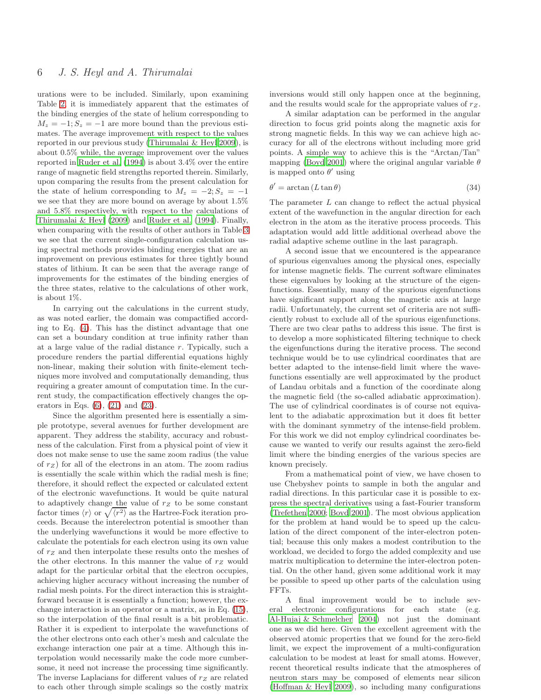urations were to be included. Similarly, upon examining Table [2,](#page-4-1) it is immediately apparent that the estimates of the binding energies of the state of helium corresponding to  $M_z = -1$ ;  $S_z = -1$  are more bound than the previous estimates. The average improvement with respect to the values reported in our previous study [\(Thirumalai & Heyl 2009](#page-6-3)), is about 0.5% while, the average improvement over the values reported in [Ruder et al. \(1994](#page-6-4)) is about 3.4% over the entire range of magnetic field strengths reported therein. Similarly, upon comparing the results from the present calculation for the state of helium corresponding to  $M_z = -2$ ;  $S_z = -1$ we see that they are more bound on average by about 1.5% and 5.8% respectively, with respect to the calculations of [Thirumalai & Heyl \(2009\)](#page-6-3) and [Ruder et al. \(1994\)](#page-6-4). Finally, when comparing with the results of other authors in Table [3](#page-4-2) we see that the current single-configuration calculation using spectral methods provides binding energies that are an improvement on previous estimates for three tightly bound states of lithium. It can be seen that the average range of improvements for the estimates of the binding energies of the three states, relative to the calculations of other work, is about 1%.

In carrying out the calculations in the current study, as was noted earlier, the domain was compactified according to Eq. [\(4\)](#page-1-7). This has the distinct advantage that one can set a boundary condition at true infinity rather than at a large value of the radial distance r. Typically, such a procedure renders the partial differential equations highly non-linear, making their solution with finite-element techniques more involved and computationally demanding, thus requiring a greater amount of computation time. In the current study, the compactification effectively changes the operators in Eqs.  $(6)$ ,  $(21)$  and  $(23)$ .

Since the algorithm presented here is essentially a simple prototype, several avenues for further development are apparent. They address the stability, accuracy and robustness of the calculation. First from a physical point of view it does not make sense to use the same zoom radius (the value of  $r_Z$ ) for all of the electrons in an atom. The zoom radius is essentially the scale within which the radial mesh is fine; therefore, it should reflect the expected or calculated extent of the electronic wavefunctions. It would be quite natural to adaptively change the value of  $r<sub>Z</sub>$  to be some constant factor times  $\langle r \rangle$  or  $\sqrt{\langle r^2 \rangle}$  as the Hartree-Fock iteration proceeds. Because the interelectron potential is smoother than the underlying wavefunctions it would be more effective to calculate the potentials for each electron using its own value of  $r_Z$  and then interpolate these results onto the meshes of the other electrons. In this manner the value of  $r_Z$  would adapt for the particular orbital that the electron occupies, achieving higher accuracy without increasing the number of radial mesh points. For the direct interaction this is straightforward because it is essentially a function; however, the exchange interaction is an operator or a matrix, as in Eq. [\(15\)](#page-1-5), so the interpolation of the final result is a bit problematic. Rather it is expedient to interpolate the wavefunctions of the other electrons onto each other's mesh and calculate the exchange interaction one pair at a time. Although this interpolation would necessarily make the code more cumbersome, it need not increase the processing time significantly. The inverse Laplacians for different values of  $r_Z$  are related to each other through simple scalings so the costly matrix

inversions would still only happen once at the beginning, and the results would scale for the appropriate values of  $r_Z$ .

A similar adaptation can be performed in the angular direction to focus grid points along the magnetic axis for strong magnetic fields. In this way we can achieve high accuracy for all of the electrons without including more grid points. A simple way to achieve this is the "Arctan/Tan" mapping [\(Boyd 2001](#page-6-5)) where the original angular variable  $\theta$ is mapped onto  $\theta'$  using

$$
\theta' = \arctan\left(L\tan\theta\right) \tag{34}
$$

The parameter  $L$  can change to reflect the actual physical extent of the wavefunction in the angular direction for each electron in the atom as the iterative process proceeds. This adaptation would add little additional overhead above the radial adaptive scheme outline in the last paragraph.

A second issue that we encountered is the appearance of spurious eigenvalues among the physical ones, especially for intense magnetic fields. The current software eliminates these eigenvalues by looking at the structure of the eigenfunctions. Essentially, many of the spurious eigenfunctions have significant support along the magnetic axis at large radii. Unfortunately, the current set of criteria are not sufficiently robust to exclude all of the spurious eigenfunctions. There are two clear paths to address this issue. The first is to develop a more sophisticated filtering technique to check the eigenfunctions during the iterative process. The second technique would be to use cylindrical coordinates that are better adapted to the intense-field limit where the wavefunctions essentially are well approximated by the product of Landau orbitals and a function of the coordinate along the magnetic field (the so-called adiabatic approximation). The use of cylindrical coordinates is of course not equivalent to the adiabatic approximation but it does fit better with the dominant symmetry of the intense-field problem. For this work we did not employ cylindrical coordinates because we wanted to verify our results against the zero-field limit where the binding energies of the various species are known precisely.

From a mathematical point of view, we have chosen to use Chebyshev points to sample in both the angular and radial directions. In this particular case it is possible to express the spectral derivatives using a fast-Fourier transform [\(Trefethen 2000](#page-6-6); [Boyd 2001](#page-6-5)). The most obvious application for the problem at hand would be to speed up the calculation of the direct component of the inter-electron potential; because this only makes a modest contribution to the workload, we decided to forgo the added complexity and use matrix multiplication to determine the inter-electron potential. On the other hand, given some additional work it may be possible to speed up other parts of the calculation using FFTs.

A final improvement would be to include several electronic configurations for each state (e.g. [Al-Hujaj & Schmelcher 2004](#page-6-11)) not just the dominant one as we did here. Given the excellent agreement with the observed atomic properties that we found for the zero-field limit, we expect the improvement of a multi-configuration calculation to be modest at least for small atoms. However, recent theoretical results indicate that the atmospheres of neutron stars may be composed of elements near silicon [\(Hoffman & Heyl 2009](#page-6-12)), so including many configurations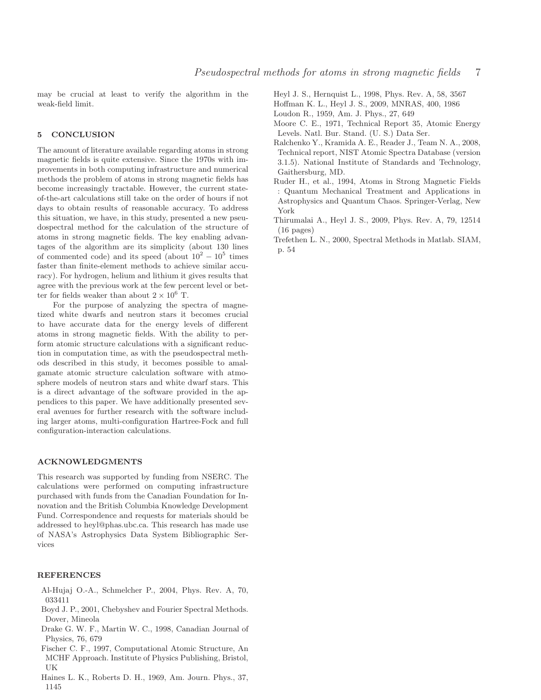may be crucial at least to verify the algorithm in the weak-field limit.

# 5 CONCLUSION

The amount of literature available regarding atoms in strong magnetic fields is quite extensive. Since the 1970s with improvements in both computing infrastructure and numerical methods the problem of atoms in strong magnetic fields has become increasingly tractable. However, the current stateof-the-art calculations still take on the order of hours if not days to obtain results of reasonable accuracy. To address this situation, we have, in this study, presented a new pseudospectral method for the calculation of the structure of atoms in strong magnetic fields. The key enabling advantages of the algorithm are its simplicity (about 130 lines of commented code) and its speed (about  $10^2 - 10^5$  times faster than finite-element methods to achieve similar accuracy). For hydrogen, helium and lithium it gives results that agree with the previous work at the few percent level or better for fields weaker than about  $2 \times 10^6$  T.

For the purpose of analyzing the spectra of magnetized white dwarfs and neutron stars it becomes crucial to have accurate data for the energy levels of different atoms in strong magnetic fields. With the ability to perform atomic structure calculations with a significant reduction in computation time, as with the pseudospectral methods described in this study, it becomes possible to amalgamate atomic structure calculation software with atmosphere models of neutron stars and white dwarf stars. This is a direct advantage of the software provided in the appendices to this paper. We have additionally presented several avenues for further research with the software including larger atoms, multi-configuration Hartree-Fock and full configuration-interaction calculations.

#### ACKNOWLEDGMENTS

This research was supported by funding from NSERC. The calculations were performed on computing infrastructure purchased with funds from the Canadian Foundation for Innovation and the British Columbia Knowledge Development Fund. Correspondence and requests for materials should be addressed to heyl@phas.ubc.ca. This research has made use of NASA's Astrophysics Data System Bibliographic Services

## REFERENCES

- <span id="page-6-11"></span>Al-Hujaj O.-A., Schmelcher P., 2004, Phys. Rev. A, 70, 033411
- <span id="page-6-5"></span>Boyd J. P., 2001, Chebyshev and Fourier Spectral Methods. Dover, Mineola
- <span id="page-6-9"></span>Drake G. W. F., Martin W. C., 1998, Canadian Journal of Physics, 76, 679
- <span id="page-6-8"></span>Fischer C. F., 1997, Computational Atomic Structure, An MCHF Approach. Institute of Physics Publishing, Bristol, UK
- <span id="page-6-1"></span>Haines L. K., Roberts D. H., 1969, Am. Journ. Phys., 37, 1145

<span id="page-6-2"></span>Heyl J. S., Hernquist L., 1998, Phys. Rev. A, 58, 3567

<span id="page-6-12"></span>Hoffman K. L., Heyl J. S., 2009, MNRAS, 400, 1986

- <span id="page-6-0"></span>Loudon R., 1959, Am. J. Phys., 27, 649
- <span id="page-6-10"></span>Moore C. E., 1971, Technical Report 35, Atomic Energy Levels. Natl. Bur. Stand. (U. S.) Data Ser.
- <span id="page-6-7"></span>Ralchenko Y., Kramida A. E., Reader J., Team N. A., 2008, Technical report, NIST Atomic Spectra Database (version 3.1.5). National Institute of Standards and Technology, Gaithersburg, MD.
- <span id="page-6-4"></span>Ruder H., et al., 1994, Atoms in Strong Magnetic Fields : Quantum Mechanical Treatment and Applications in Astrophysics and Quantum Chaos. Springer-Verlag, New York
- <span id="page-6-3"></span>Thirumalai A., Heyl J. S., 2009, Phys. Rev. A, 79, 12514 (16 pages)
- <span id="page-6-6"></span>Trefethen L. N., 2000, Spectral Methods in Matlab. SIAM, p. 54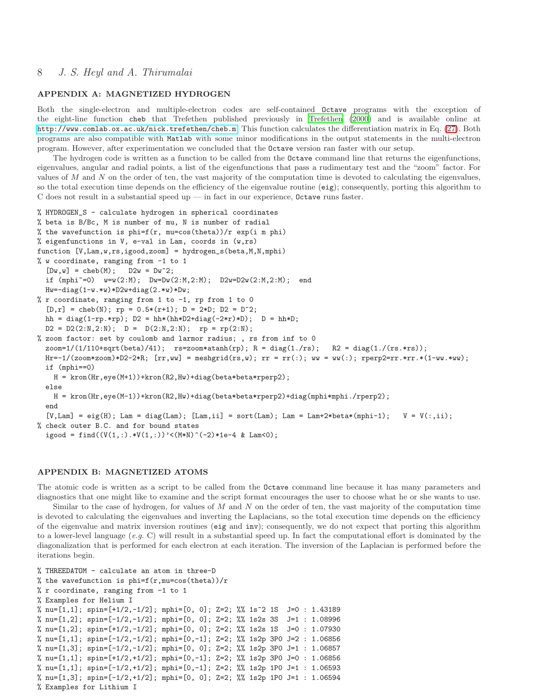# 8 J. S. Heyl and A. Thirumalai

# <span id="page-7-0"></span>APPENDIX A: MAGNETIZED HYDROGEN

Both the single-electron and multiple-electron codes are self-contained Octave programs with the exception of the eight-line function cheb that Trefethen published previously in [Trefethen \(2000](#page-6-6)) and is available online at <http://www.comlab.ox.ac.uk/nick.trefethen/cheb.m>. This function calculates the differentiation matrix in Eq. [\(27\)](#page-2-5). Both programs are also compatible with Matlab with some minor modifications in the output statements in the multi-electron program. However, after experimentation we concluded that the Octave version ran faster with our setup.

The hydrogen code is written as a function to be called from the Octave command line that returns the eigenfunctions, eigenvalues, angular and radial points, a list of the eigenfunctions that pass a rudimentary test and the "zoom" factor. For values of  $M$  and  $N$  on the order of ten, the vast majority of the computation time is devoted to calculating the eigenvalues, so the total execution time depends on the efficiency of the eigenvalue routine (eig); consequently, porting this algorithm to C does not result in a substantial speed up — in fact in our experience, Octave runs faster.

```
% HYDROGEN_S - calculate hydrogen in spherical coordinates
% beta is B/Bc, M is number of mu, N is number of radial
% the wavefunction is phi=f(r, mu=cos(theta))/r exp(i m phi)% eigenfunctions in V, e-val in Lam, coords in (w,rs)
function [V,Lam,w,rs,igood,zoom] = hydrogen_s(beta,M,N,mphi)
% w coordinate, ranging from -1 to 1
  [Dw,w] = \text{cheb}(M); \quad D2w = Dw^2;if (mphi~=0) w=w(2:M); Dw=Dw(2:M,2:M); D2w=D2w(2:M,2:M); end
  Hw=-diag(1-w.*w)*D2w+diag(2.*w)*Dw;% r coordinate, ranging from 1 to -1, rp from 1 to 0
  [D,r] = \text{cheb}(N); rp = 0.5*(r+1); D = 2*D; D2 = D^2;hh = diag(1-rp.*rp); D2 = hh*(hh*D2+diag(-2*r)*D); D = hh*D;
  D2 = D2(2:N,2:N); D = D(2:N,2:N); rp = rp(2:N);% zoom factor: set by coulomb and larmor radius; , rs from inf to 0
  zoom=1/(1/110+sqrt(beta)/41); rs = zoom*atanh(rp); R = diag(1./rs); R2 = diag(1./(rs.*rs));
  Hr=-1/(zoom*zoom)*D2-2*R; [rr,ww] = meshgrid(rs,w); rr = rr(:); ww = ww(:); rperp2=rr.*rr.*(1-ww.*ww);
  if (mphi==0)
    H = kron(Hr,eye(M+1))+kron(R2,Hw)+diag(beta*beta*rperp2);
  else
    H = kron(Hr,eye(M-1))+kron(R2,Hw)+diag(beta*beta*prep2)+diag(mphi*mp1../rerep2);end
  [V, Lam] = eig(H); Lam = diag(Lam); [Lam,ii] = sort(Lam); Lam = Lam+2*beta*(mphi-1); V = V(:,ii);
% check outer B.C. and for bound states
  igood = find((V(1,:).*V(1,:))'<(M*N)^(-2)*1e-4 & Lam<0);
```
# <span id="page-7-1"></span>APPENDIX B: MAGNETIZED ATOMS

The atomic code is written as a script to be called from the Octave command line because it has many parameters and diagnostics that one might like to examine and the script format encourages the user to choose what he or she wants to use. Similar to the case of hydrogen, for values of  $M$  and  $N$  on the order of ten, the vast majority of the computation time is devoted to calculating the eigenvalues and inverting the Laplacians, so the total execution time depends on the efficiency of the eigenvalue and matrix inversion routines (eig and inv); consequently, we do not expect that porting this algorithm to a lower-level language  $(e.g. C)$  will result in a substantial speed up. In fact the computational effort is dominated by the diagonalization that is performed for each electron at each iteration. The inversion of the Laplacian is performed before the iterations begin.

```
% THREEDATOM - calculate an atom in three-D
% the wavefunction is phi=f(r,mu=cos(theta))/r% r coordinate, ranging from -1 to 1
% Examples for Helium I
% nu=[1,1]; spin=[+1/2,-1/2]; mphi=[0, 0]; Z=2; %% 1s^2 1S J=0 : 1.43189
% nu=[1,2]; spin=[-1/2,-1/2]; mphi=[0, 0]; Z=2; %% 1s2s 3S J=1 : 1.08996
% nu=[1,2]; spin=[+1/2,-1/2]; mphi=[0, 0]; Z=2; %% 1s2s 1S J=0 : 1.07930
% nu=[1,1]; spin=[-1/2,-1/2]; mphi=[0,-1]; Z=2; %% 1s2p 3P0 J=2 : 1.06856
% nu=[1,3]; spin=[-1/2,-1/2]; mphi=[0, 0]; Z=2; %% 1s2p 3P0 J=1 : 1.06857
% nu=[1,1]; spin=[+1/2,+1/2]; mphi=[0,-1]; Z=2; %% 1s2p 3P0 J=0 : 1.06856
% nu=[1,1]; spin=[-1/2,+1/2]; mphi=[0,-1]; Z=2; %% 1s2p 1P0 J=1 : 1.06593
% nu=[1,3]; spin=[-1/2,+1/2]; mphi=[0, 0]; Z=2; %% 1s2p 1P0 J=1 : 1.06594
% Examples for Lithium I
```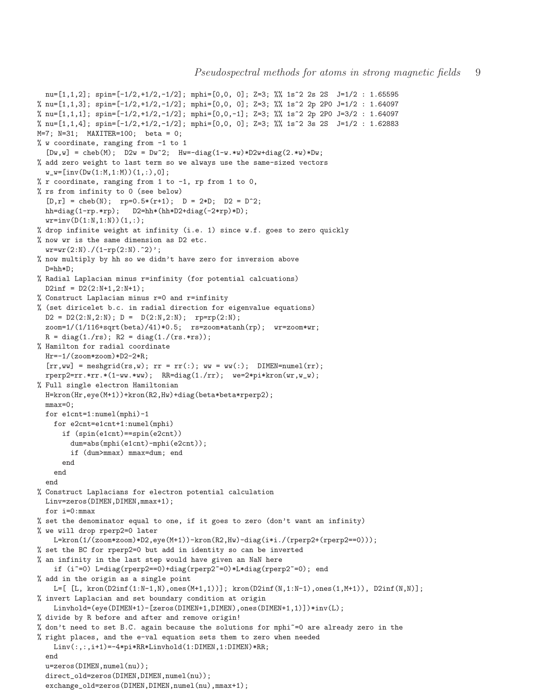```
nu=[1,1,2]; spin=[-1/2,+1/2,-1/2]; mphi=[0,0, 0]; Z=3; %% 1s^2 2s 2S J=1/2 : 1.65595
% nu=[1,1,3]; spin=[-1/2,+1/2,-1/2]; mphi=[0,0, 0]; Z=3; %% 1s^2 2p 2P0 J=1/2 : 1.64097
% nu=[1,1,1]; spin=[-1/2,+1/2,-1/2]; mphi=[0,0,-1]; Z=3; %% 1s^2 2p 2P0 J=3/2 : 1.64097
% nu=[1,1,4]; spin=[-1/2,+1/2,-1/2]; mphi=[0,0, 0]; Z=3; %% 1s<sup>2</sup> 3s 2S J=1/2 : 1.62883
M=7; N=31; MAXITER=100; beta = 0;
% w coordinate, ranging from -1 to 1
  [Dw, w] = \text{cheb}(M); \quad D2w = Dw^2; \quad Hw = -\text{diag}(1-w.*w)*D2w + \text{diag}(2.*w)*Dw;% add zero weight to last term so we always use the same-sized vectors
  w_w = [inv(Dw(1:M,1:M))(1,:),0];\% r coordinate, ranging from 1 to -1, rp from 1 to 0,
% rs from infinity to 0 (see below)
  [D,r] = \text{cheb}(N); \text{rp=0.5*(r+1)}; \text{D} = 2*D; \text{D2} = D^2;hh=diag(1-rp.*rp); D2=hh*(hh*D2+diag(-2*rp)*D);
  wr=inv(D(1:N,1:N))(1,:);% drop infinite weight at infinity (i.e. 1) since w.f. goes to zero quickly
% now wr is the same dimension as D2 etc.
  wr=wr(2:N)./(1-rp(2:N).^2)';
% now multiply by hh so we didn't have zero for inversion above
  D=hh*D;
% Radial Laplacian minus r=infinity (for potential calcuations)
  D2inf = D2(2:N+1, 2:N+1);% Construct Laplacian minus r=0 and r=infinity
% (set diricelet b.c. in radial direction for eigenvalue equations)
  D2 = D2(2:N, 2:N); D = D(2:N, 2:N); Tp=rp(2:N);zoom=1/(1/116+sqrt(beta)/41)*0.5; rs=zoom*atanh(rp); wr=zoom*wr;
  R = diag(1./rs); R2 = diag(1./(rs.*rs));% Hamilton for radial coordinate
  Hr=-1/(zoom*zoom)*D2-2*R;
  [\text{rr},\text{ww}] = meshgrid(rs,w); rr = \text{rr}(:); ww = \text{ww}(:); DIMEN=numel(rr);
  rperp2=rr.*rr.*(1-ww.*ww); RR=diag(1./rr); we=2*pi*kron(wr,w_w);
% Full single electron Hamiltonian
  H=kron(Hr,eye(M+1))+kron(R2,Hw)+diag(beta*beta*rperp2);
  mmax=0;
  for e1cnt=1:numel(mphi)-1
    for e2cnt=e1cnt+1:numel(mphi)
      if (spin(e1cnt)==spin(e2cnt))
        dum=abs(mphi(e1cnt)-mphi(e2cnt));
        if (dum>mmax) mmax=dum; end
      end
    end
  end
% Construct Laplacians for electron potential calculation
  Linv=zeros(DIMEN,DIMEN,mmax+1);
  for i=0:mmax
% set the denominator equal to one, if it goes to zero (don't want an infinity)
% we will drop rperp2=0 later
    L=kron(1/(zoom*zoom)*D2,eye(M+1))-kron(R2,Hw)-diag(i*i./(rperp2+(rperp2==0)));
% set the BC for rperp2=0 but add in identity so can be inverted
% an infinity in the last step would have given an NaN here
    if (i<sup>-</sup>=0) L=diag(rperp2==0)+diag(rperp2<sup>-=0</sup>)*L*diag(rperp2<sup>-=0</sup>); end
% add in the origin as a single point
    L=[ [L, kron(D2inf(1:N-1,N),ones(M+1,1))]; kron(D2inf(N,1:N-1),ones(1,M+1)), D2inf(N,N)];
% invert Laplacian and set boundary condition at origin
    Linvhold=(eye(DIMEN+1)-[zeros(DIMEN+1,DIMEN),ones(DIMEN+1,1)])*inv(L);
% divide by R before and after and remove origin!
% don't need to set B.C. again because the solutions for mphi~=0 are already zero in the
% right places, and the e-val equation sets them to zero when needed
    Linv(:,:,i+1)=-4*pi*RR*Linvhold(1:DIMEN,1:DIMEN)*RR;
  end
  u=zeros(DIMEN,numel(nu));
  direct_old=zeros(DIMEN,DIMEN,numel(nu));
  exchange_old=zeros(DIMEN,DIMEN,numel(nu),mmax+1);
```